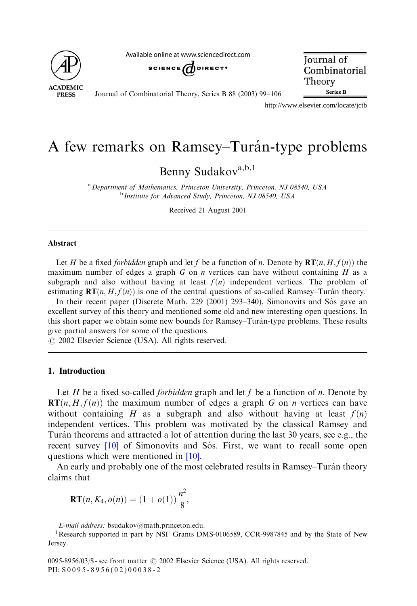

Available online at www.sciencedirect.com



**Journal** of Combinatorial Theory **Series B** 

Journal of Combinatorial Theory, Series B 88 (2003) 99–106

http://www.elsevier.com/locate/jctb

# A few remarks on Ramsey–Turán-type problems

Benny Sudakov<sup>a,b,1</sup>

<sup>a</sup> Department of Mathematics, Princeton University, Princeton, NJ 08540, USA <sup>b</sup> Institute for Advanced Study, Princeton, NJ 08540, USA

Received 21 August 2001

#### Abstract

Let H be a fixed forbidden graph and let f be a function of n. Denote by  $\mathbf{RT}(n, H, f(n))$  the maximum number of edges a graph G on  $n$  vertices can have without containing H as a subgraph and also without having at least  $f(n)$  independent vertices. The problem of estimating  $\mathbf{RT}(n, H, f(n))$  is one of the central questions of so-called Ramsey–Turán theory.

In their recent paper (Discrete Math. 229 (2001) 293-340), Simonovits and Sós gave an excellent survey of this theory and mentioned some old and new interesting open questions. In this short paper we obtain some new bounds for Ramsey–Turán-type problems. These results give partial answers for some of the questions.

 $\odot$  2002 Elsevier Science (USA). All rights reserved.

## 1. Introduction

Let H be a fixed so-called *forbidden* graph and let f be a function of n. Denote by  $RT(n, H, f(n))$  the maximum number of edges a graph G on n vertices can have without containing H as a subgraph and also without having at least  $f(n)$ independent vertices. This problem was motivated by the classical Ramsey and Turan theorems and attracted a lot of attention during the last 30 years, see e.g., the recent survey [\[10\]](#page-7-0) of Simonovits and Sós. First, we want to recall some open questions which were mentioned in [\[10\]](#page-7-0).

An early and probably one of the most celebrated results in Ramsey–Turán theory claims that

$$
RT(n, K_4, o(n)) = (1 + o(1)) \frac{n^2}{8},
$$

E-mail address: bsudakov@math.princeton.edu. <sup>1</sup>

<sup>&</sup>lt;sup>1</sup> Research supported in part by NSF Grants DMS-0106589, CCR-9987845 and by the State of New Jersey.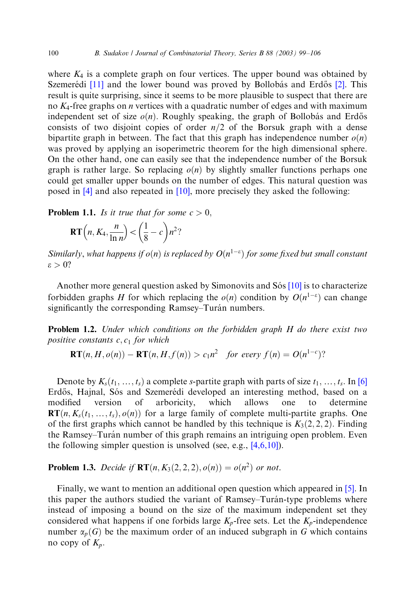where  $K_4$  is a complete graph on four vertices. The upper bound was obtained by Szemerédi  $[11]$  and the lower bound was proved by Bollobás and Erdős  $[2]$ . This result is quite surprising, since it seems to be more plausible to suspect that there are no  $K_4$ -free graphs on *n* vertices with a quadratic number of edges and with maximum independent set of size  $o(n)$ . Roughly speaking, the graph of Bollobás and Erdős consists of two disjoint copies of order  $n/2$  of the Borsuk graph with a dense bipartite graph in between. The fact that this graph has independence number  $o(n)$ was proved by applying an isoperimetric theorem for the high dimensional sphere. On the other hand, one can easily see that the independence number of the Borsuk graph is rather large. So replacing  $o(n)$  by slightly smaller functions perhaps one could get smaller upper bounds on the number of edges. This natural question was posed in [\[4\]](#page-7-0) and also repeated in [\[10\]](#page-7-0), more precisely they asked the following:

**Problem 1.1.** Is it true that for some  $c > 0$ ,

$$
\mathbf{RT}\left(n, K_4, \frac{n}{\ln n}\right) < \left(\frac{1}{8} - c\right)n^2?
$$

Similarly, what happens if  $o(n)$  is replaced by  $O(n^{1-\varepsilon})$  for some fixed but small constant  $\varepsilon > 0$ ?

Another more general question asked by Simonovits and Sós  $[10]$  is to characterize forbidden graphs H for which replacing the  $o(n)$  condition by  $O(n^{1-\epsilon})$  can change significantly the corresponding Ramsey–Turán numbers.

Problem 1.2. Under which conditions on the forbidden graph H do there exist two positive constants  $c, c_1$  for which

$$
\mathbf{RT}(n, H, o(n)) - \mathbf{RT}(n, H, f(n)) > c_1 n^2 \quad \text{for every } f(n) = O(n^{1-c})?
$$

Denote by  $K_s(t_1, ..., t_s)$  a complete s-partite graph with parts of size  $t_1, ..., t_s$ . In [\[6\]](#page-7-0) Erdős, Hajnal, Sós and Szemerédi developed an interesting method, based on a modified version of arboricity, which allows one to determine  $\mathbf{RT}(n, K_s(t_1, ..., t_s), o(n))$  for a large family of complete multi-partite graphs. One of the first graphs which cannot be handled by this technique is  $K_3(2,2,2)$ . Finding the Ramsey–Turán number of this graph remains an intriguing open problem. Even the following simpler question is unsolved (see, e.g., [\[4,6,10\]\)](#page-7-0).

**Problem 1.3.** Decide if  $\mathbf{RT}(n, K_3(2, 2, 2), o(n)) = o(n^2)$  or not.

Finally, we want to mention an additional open question which appeared in [\[5\].](#page-7-0) In this paper the authors studied the variant of Ramsey–Turán-type problems where instead of imposing a bound on the size of the maximum independent set they considered what happens if one forbids large  $K_p$ -free sets. Let the  $K_p$ -independence number  $\alpha_p(G)$  be the maximum order of an induced subgraph in G which contains no copy of  $K_p$ .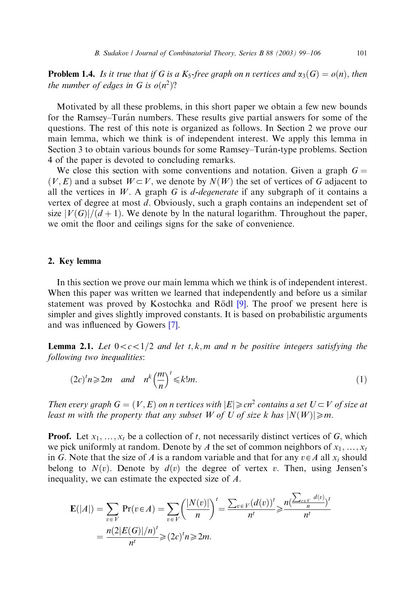**Problem 1.4.** Is it true that if G is a K<sub>5</sub>-free graph on n vertices and  $\alpha_3(G) = o(n)$ , then the number of edges in G is  $o(n^2)$ ?

Motivated by all these problems, in this short paper we obtain a few new bounds for the Ramsey–Turán numbers. These results give partial answers for some of the questions. The rest of this note is organized as follows. In Section 2 we prove our main lemma, which we think is of independent interest. We apply this lemma in Section 3 to obtain various bounds for some Ramsey–Turán-type problems. Section 4 of the paper is devoted to concluding remarks.

We close this section with some conventions and notation. Given a graph  $G =$  $(V, E)$  and a subset  $W \subset V$ , we denote by  $N(W)$  the set of vertices of G adjacent to all the vertices in  $W$ . A graph G is *d*-degenerate if any subgraph of it contains a vertex of degree at most d: Obviously, such a graph contains an independent set of size  $|V(G)|/(d+1)$ . We denote by ln the natural logarithm. Throughout the paper, we omit the floor and ceilings signs for the sake of convenience.

#### 2. Key lemma

In this section we prove our main lemma which we think is of independent interest. When this paper was written we learned that independently and before us a similar statement was proved by Kostochka and Rödl  $[9]$ . The proof we present here is simpler and gives slightly improved constants. It is based on probabilistic arguments and was influenced by Gowers [\[7\].](#page-7-0)

**Lemma 2.1.** Let  $0 < c < 1/2$  and let t, k, m and n be positive integers satisfying the following two inequalities:

$$
(2c)^{t}n \ge 2m \quad and \quad n^{k} \left(\frac{m}{n}\right)^{t} \le k!m. \tag{1}
$$

Then every graph  $G = (V, E)$  on n vertices with  $|E| \geq c n^2$  contains a set  $U \subset V$  of size at least m with the property that any subset W of U of size k has  $|N(W)| \ge m$ .

**Proof.** Let  $x_1, \ldots, x_t$  be a collection of t, not necessarily distinct vertices of G, which we pick uniformly at random. Denote by A the set of common neighbors of  $x_1, \ldots, x_t$ in G. Note that the size of A is a random variable and that for any  $v \in A$  all  $x_i$  should belong to  $N(v)$ . Denote by  $d(v)$  the degree of vertex v. Then, using Jensen's inequality, we can estimate the expected size of A:

$$
\mathbf{E}(|A|) = \sum_{v \in V} \Pr(v \in A) = \sum_{v \in V} \left(\frac{|N(v)|}{n}\right)^t = \frac{\sum_{v \in V} (d(v))^t}{n^t} \ge \frac{n(\frac{\sum_{v \in V} d(v)}{n})^t}{n^t}
$$

$$
= \frac{n(2|E(G)|/n)^t}{n^t} \ge (2c)^t n \ge 2m.
$$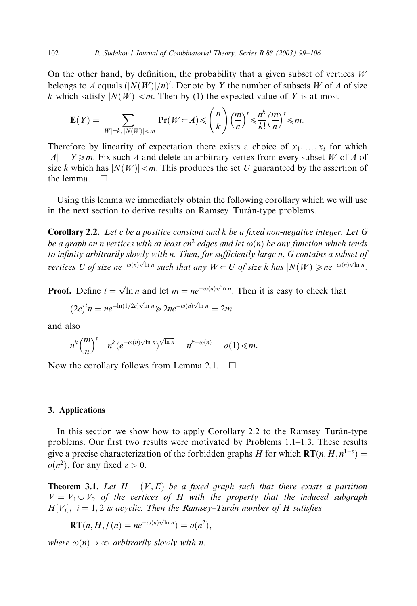On the other hand, by definition, the probability that a given subset of vertices  $W$ belongs to A equals  $(|N(W)|/n)^t$ . Denote by Y the number of subsets W of A of size k which satisfy  $|N(W)| < m$ . Then by (1) the expected value of Y is at most

$$
\mathbf{E}(Y) = \sum_{|W|=k, |N(W)| < m} \Pr(W \subset A) \leqslant {n \choose k} \left(\frac{m}{n}\right)^t \leqslant \frac{n^k}{k!} \left(\frac{m}{n}\right)^t \leqslant m.
$$

Therefore by linearity of expectation there exists a choice of  $x_1, \ldots, x_t$  for which  $|A| - Y \ge m$ . Fix such A and delete an arbitrary vertex from every subset W of A of size k which has  $|N(W)| < m$ . This produces the set U guaranteed by the assertion of the lemma.  $\Box$ 

Using this lemma we immediately obtain the following corollary which we will use in the next section to derive results on Ramsey–Turan-type problems.

**Corollary 2.2.** Let c be a positive constant and  $k$  be a fixed non-negative integer. Let G be a graph on n vertices with at least  $cn^2$  edges and let  $\omega(n)$  be any function which tends to infinity arbitrarily slowly with n. Then, for sufficiently large n, G contains a subset of vertices U of size ne<sup>- $\omega(n)\sqrt{\ln n}$ </sup> such that any  $W \subset U$  of size k has  $|N(W)| \geq ne^{-\omega(n)\sqrt{\ln n}}$ .

**Proof.** Define  $t = \sqrt{\ln n}$  and let  $m = ne^{-\omega(n)\sqrt{\ln n}}$ . Then it is easy to check that

$$
(2c)^{t}n = ne^{-\ln(1/2c)\sqrt{\ln n}} \gg 2ne^{-\omega(n)\sqrt{\ln n}} = 2m
$$

and also

$$
n^k \left(\frac{m}{n}\right)^t = n^k \left(e^{-\omega(n)\sqrt{\ln n}}\right)^{\sqrt{\ln n}} = n^{k-\omega(n)} = o(1) \ll m.
$$

Now the corollary follows from Lemma 2.1.  $\Box$ 

#### 3. Applications

In this section we show how to apply Corollary 2.2 to the Ramsey–Turan-type problems. Our first two results were motivated by Problems 1.1–1.3. These results give a precise characterization of the forbidden graphs H for which  $\mathbf{RT}(n, H, n^{1-\epsilon}) =$  $o(n^2)$ , for any fixed  $\varepsilon > 0$ .

**Theorem 3.1.** Let  $H = (V, E)$  be a fixed graph such that there exists a partition  $V = V_1 \cup V_2$  of the vertices of H with the property that the induced subgraph  $H[V_i], i = 1, 2$  is acyclic. Then the Ramsey–Turan number of H satisfies

$$
\mathbf{RT}(n, H, f(n) = ne^{-\omega(n)\sqrt{\ln n}}) = o(n^2),
$$

where  $\omega(n) \rightarrow \infty$  arbitrarily slowly with n.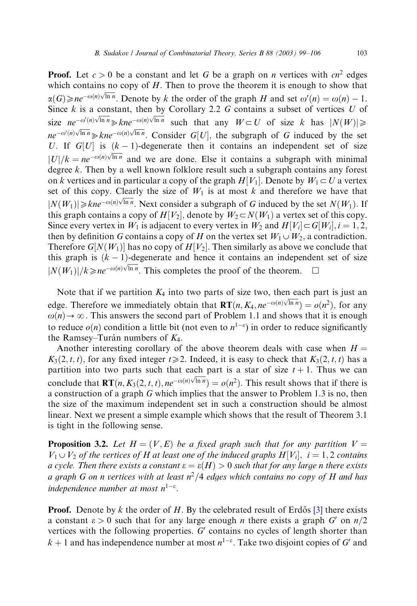**Proof.** Let  $c > 0$  be a constant and let G be a graph on *n* vertices with  $cn^2$  edges which contains no copy of  $H$ . Then to prove the theorem it is enough to show that  $\alpha(G) \geq n e^{-\omega(n)\sqrt{\ln n}}$ . Denote by k the order of the graph H and set  $\omega'(n) = \omega(n) - 1$ . Since k is a constant, then by Corollary 2.2 G contains a subset of vertices  $U$  of size  $ne^{-\omega'(n)\sqrt{\ln n}} \geqslant kne^{-\omega(n)\sqrt{\ln n}}$  such that any  $W \subset U$  of size k has  $|N(W)| \geqslant$  $\lim_{n \to \infty} \frac{\ln n}{\ln n} \geq \lim_{n \to \infty} \frac{\ln n}{\ln n}$ . Consider G[U], the subgraph of G induced by the set U. If  $G[U]$  is  $(k - 1)$ -degenerate then it contains an independent set of size  $|U|/k = ne^{-\omega(n)\sqrt{\ln n}}$  and we are done. Else it contains a subgraph with minimal degree  $k$ . Then by a well known folklore result such a subgraph contains any forest on k vertices and in particular a copy of the graph  $H[V_1]$ . Denote by  $W_1 \subset U$  a vertex set of this copy. Clearly the size of  $W_1$  is at most k and therefore we have that  $|N(W_1)| \geq kne^{-\omega(n)\sqrt{\ln n}}$ . Next consider a subgraph of G induced by the set  $N(W_1)$ . If this graph contains a copy of  $H[V_2]$ , denote by  $W_2 \subset N(W_1)$  a vertex set of this copy. Since every vertex in  $W_1$  is adjacent to every vertex in  $W_2$  and  $H[V_i] \subset G[W_i], i = 1, 2$ , then by definition G contains a copy of H on the vertex set  $W_1 \cup W_2$ , a contradiction. Therefore  $G[N(W_1)]$  has no copy of  $H[V_2]$ . Then similarly as above we conclude that this graph is  $(k - 1)$ -degenerate and hence it contains an independent set of size  $|N(W_1)|/k \ge n e^{-\omega(n)\sqrt{\ln n}}$ . This completes the proof of the theorem.  $\Box$ 

Note that if we partition  $K_4$  into two parts of size two, then each part is just an edge. Therefore we immediately obtain that  $\mathbf{RT}(n, K_4, ne^{-\omega(n)\sqrt{\ln n}}) = o(n^2)$ , for any  $\omega(n) \rightarrow \infty$ . This answers the second part of Problem 1.1 and shows that it is enough to reduce  $o(n)$  condition a little bit (not even to  $n^{1-\epsilon}$ ) in order to reduce significantly the Ramsey–Turán numbers of  $K_4$ .

Another interesting corollary of the above theorem deals with case when  $H =$  $K_3(2, t, t)$ , for any fixed integer  $t \ge 2$ . Indeed, it is easy to check that  $K_3(2, t, t)$  has a partition into two parts such that each part is a star of size  $t + 1$ . Thus we can conclude that  $\mathbf{RT}(n, K_3(2, t, t), ne^{-\omega(n)\sqrt{\ln n}}) = o(n^2)$ . This result shows that if there is a construction of a graph G which implies that the answer to Problem 1.3 is no, then the size of the maximum independent set in such a construction should be almost linear. Next we present a simple example which shows that the result of Theorem 3.1 is tight in the following sense.

**Proposition 3.2.** Let  $H = (V, E)$  be a fixed graph such that for any partition  $V =$  $V_1 \cup V_2$  of the vertices of H at least one of the induced graphs  $H[V_i]$ ,  $i = 1, 2$  contains a cycle. Then there exists a constant  $\varepsilon = \varepsilon(H) > 0$  such that for any large n there exists a graph G on n vertices with at least  $n^2/4$  edges which contains no copy of H and has independence number at most  $n^{1-\epsilon}$ .

**Proof.** Denote by k the order of H. By the celebrated result of Erdős [\[3\]](#page-7-0) there exists a constant  $\varepsilon > 0$  such that for any large enough *n* there exists a graph G' on  $n/2$ vertices with the following properties.  $G'$  contains no cycles of length shorter than  $k + 1$  and has independence number at most  $n^{1-\epsilon}$ . Take two disjoint copies of G' and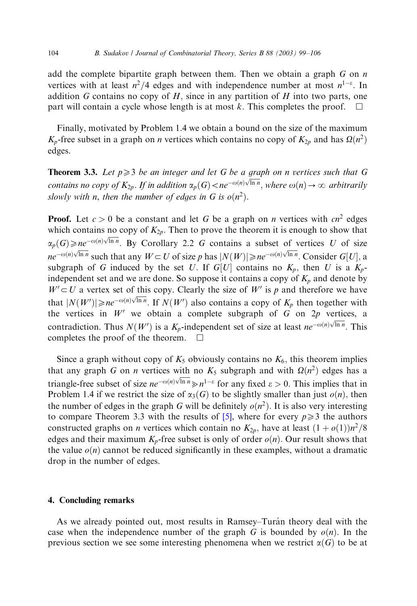add the complete bipartite graph between them. Then we obtain a graph  $G$  on  $n$ vertices with at least  $n^2/4$  edges and with independence number at most  $n^{1-\epsilon}$ . In addition G contains no copy of  $H$ , since in any partition of  $H$  into two parts, one part will contain a cycle whose length is at most k. This completes the proof.  $\Box$ 

Finally, motivated by Problem 1.4 we obtain a bound on the size of the maximum  $K_p$ -free subset in a graph on *n* vertices which contains no copy of  $K_{2p}$  and has  $\Omega(n^2)$ edges.

**Theorem 3.3.** Let  $p \ge 3$  be an integer and let G be a graph on n vertices such that G contains no copy of  $K_{2p}$ . If in addition  $\alpha_p(G) < ne^{-\omega(n)\sqrt{\ln n}}$ , where  $\omega(n) \to \infty$  arbitrarily slowly with n, then the number of edges in G is  $o(n^2)$ .

**Proof.** Let  $c > 0$  be a constant and let G be a graph on *n* vertices with  $cn^2$  edges which contains no copy of  $K_{2p}$ . Then to prove the theorem it is enough to show that  $\alpha_p(G) \geq n e^{-\omega(n)\sqrt{\ln n}}$ . By Corollary 2.2 G contains a subset of vertices U of size  $ne^{-\omega(n)\sqrt{\ln n}}$  such that any  $W \subset U$  of size p has  $|N(W)| \geq n e^{-\omega(n)\sqrt{\ln n}}$ . Consider  $G[U]$ , a subgraph of G induced by the set U. If  $G[U]$  contains no  $K_p$ , then U is a  $K_p$ independent set and we are done. So suppose it contains a copy of  $K_p$  and denote by  $W' \subset U$  a vertex set of this copy. Clearly the size of W' is p and therefore we have that  $|N(W')| \ge n e^{-\omega(n)\sqrt{\ln n}}$ . If  $N(W')$  also contains a copy of  $K_p$  then together with the vertices in  $W'$  we obtain a complete subgraph of  $G$  on  $2p$  vertices, a contradiction. Thus  $N(W')$  is a  $K_p$ -independent set of size at least  $ne^{-\omega(n)\sqrt{\ln n}}$ . This completes the proof of the theorem.  $\Box$ 

Since a graph without copy of  $K_5$  obviously contains no  $K_6$ , this theorem implies that any graph G on n vertices with no  $K_5$  subgraph and with  $\Omega(n^2)$  edges has a triangle-free subset of size  $ne^{-\omega(n)\sqrt{\ln n}} \ge n^{1-\varepsilon}$  for any fixed  $\varepsilon > 0$ . This implies that in Problem 1.4 if we restrict the size of  $\alpha_3(G)$  to be slightly smaller than just  $o(n)$ , then the number of edges in the graph G will be definitely  $o(n^2)$ . It is also very interesting to compare Theorem 3.3 with the results of [\[5\]](#page-7-0), where for every  $p \ge 3$  the authors constructed graphs on *n* vertices which contain no  $K_{2p}$ , have at least  $(1 + o(1))n^2/8$ edges and their maximum  $K_p$ -free subset is only of order  $o(n)$ . Our result shows that the value  $o(n)$  cannot be reduced significantly in these examples, without a dramatic drop in the number of edges.

#### 4. Concluding remarks

As we already pointed out, most results in Ramsey–Turán theory deal with the case when the independence number of the graph G is bounded by  $o(n)$ . In the previous section we see some interesting phenomena when we restrict  $\alpha(G)$  to be at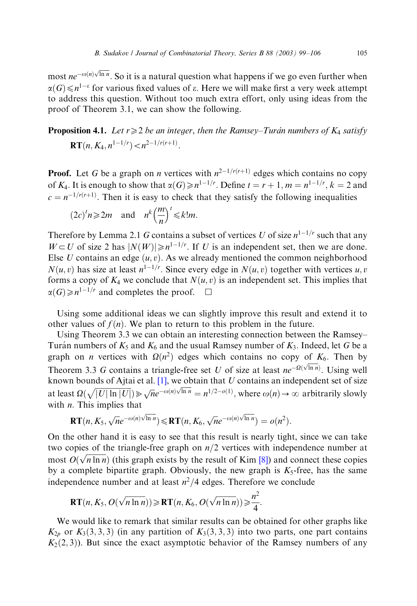most  $ne^{-\omega(n)\sqrt{\ln n}}$ . So it is a natural question what happens if we go even further when  $\alpha(G) \leq n^{1-\varepsilon}$  for various fixed values of  $\varepsilon$ . Here we will make first a very week attempt to address this question. Without too much extra effort, only using ideas from the proof of Theorem 3.1, we can show the following.

**Proposition 4.1.** Let  $r \geq 2$  be an integer, then the Ramsey–Turan numbers of  $K_4$  satisfy  $\mathbf{RT}(n, K_4, n^{1-1/r}) < n^{2-1/r(r+1)}.$ 

**Proof.** Let G be a graph on n vertices with  $n^{2-1/r(r+1)}$  edges which contains no copy of K<sub>4</sub>. It is enough to show that  $\alpha(G) \geq n^{1-1/r}$ . Define  $t = r + 1$ ,  $m = n^{1-1/r}$ ,  $k = 2$  and  $c = n^{-1/r(r+1)}$ . Then it is easy to check that they satisfy the following inequalities

$$
(2c)^{t}n \geq 2m
$$
 and  $n^{k} \left(\frac{m}{n}\right)^{t} \leq k!m$ .

Therefore by Lemma 2.1 G contains a subset of vertices U of size  $n^{1-1/r}$  such that any  $W \subset U$  of size 2 has  $|N(W)| \ge n^{1-1/r}$ . If U is an independent set, then we are done. Else U contains an edge  $(u, v)$ . As we already mentioned the common neighborhood  $N(u, v)$  has size at least  $n^{1-1/r}$ . Since every edge in  $N(u, v)$  together with vertices u, v forms a copy of  $K_4$  we conclude that  $N(u, v)$  is an independent set. This implies that  $\alpha(G) \geq n^{1-1/r}$  and completes the proof.  $\Box$ 

Using some additional ideas we can slightly improve this result and extend it to other values of  $f(n)$ . We plan to return to this problem in the future.

Using Theorem 3.3 we can obtain an interesting connection between the Ramsey– Turán numbers of  $K_5$  and  $K_6$  and the usual Ramsey number of  $K_3$ . Indeed, let G be a graph on *n* vertices with  $\Omega(n^2)$  edges which contains no copy of  $K_6$ . Then by Theorem 3.3 G contains a triangle-free set U of size at least  $ne^{-\Omega(\sqrt{\ln n})}$ . Using well known bounds of Ajtai et al.  $[1]$ , we obtain that U contains an independent set of size at least  $\Omega(\sqrt{|U| \ln |U|}) \gg \sqrt{n}e^{-\omega(n)\sqrt{\ln n}} = n^{1/2-\omega(1)}$ , where  $\omega(n) \rightarrow \infty$  arbitrarily slowly with  $n$ . This implies that

$$
\mathbf{RT}(n, K_5, \sqrt{n}e^{-\omega(n)\sqrt{\ln n}}) \leqslant \mathbf{RT}(n, K_6, \sqrt{n}e^{-\omega(n)\sqrt{\ln n}}) = o(n^2).
$$

On the other hand it is easy to see that this result is nearly tight, since we can take two copies of the triangle-free graph on  $n/2$  vertices with independence number at two copies of the thangie-free graph on  $n/2$  vertices with independence humber at most  $O(\sqrt{n \ln n})$  (this graph exists by the result of Kim [\[8\]](#page-7-0)) and connect these copies by a complete bipartite graph. Obviously, the new graph is  $K_5$ -free, has the same independence number and at least  $n^2/4$  edges. Therefore we conclude

$$
\mathbf{RT}(n, K_5, O(\sqrt{n \ln n})) \geqslant \mathbf{RT}(n, K_6, O(\sqrt{n \ln n})) \geqslant \frac{n^2}{4}.
$$

We would like to remark that similar results can be obtained for other graphs like  $K_{2p}$  or  $K_3(3,3,3)$  (in any partition of  $K_3(3,3,3)$ ) into two parts, one part contains  $K_2(2, 3)$ ). But since the exact asymptotic behavior of the Ramsey numbers of any